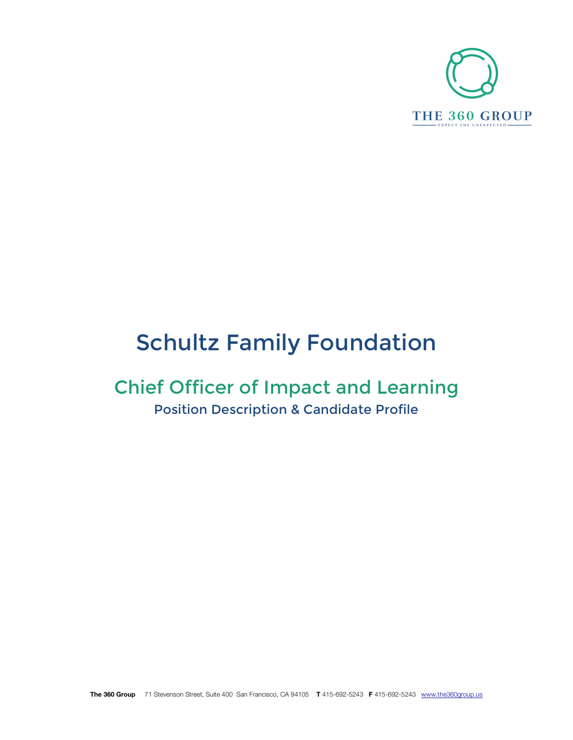

# Schultz Family Foundation

# Chief Officer of Impact and Learning Position Description & Candidate Profile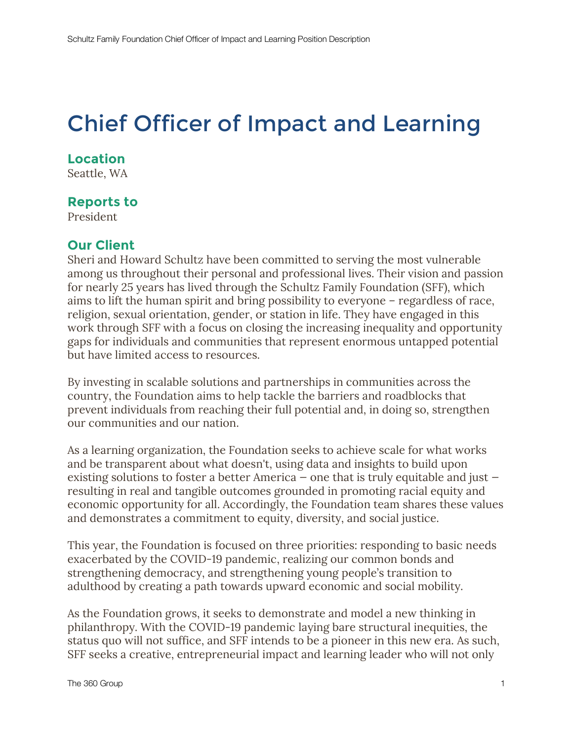# Chief Officer of Impact and Learning

### **Location**

Seattle, WA

### **Reports to**

President

### **Our Client**

Sheri and Howard Schultz have been committed to serving the most vulnerable among us throughout their personal and professional lives. Their vision and passion for nearly 25 years has lived through the Schultz Family Foundation (SFF), which aims to lift the human spirit and bring possibility to everyone – regardless of race, religion, sexual orientation, gender, or station in life. They have engaged in this work through SFF with a focus on closing the increasing inequality and opportunity gaps for individuals and communities that represent enormous untapped potential but have limited access to resources.

By investing in scalable solutions and partnerships in communities across the country, the Foundation aims to help tackle the barriers and roadblocks that prevent individuals from reaching their full potential and, in doing so, strengthen our communities and our nation.

As a learning organization, the Foundation seeks to achieve scale for what works and be transparent about what doesn't, using data and insights to build upon existing solutions to foster a better America — one that is truly equitable and just resulting in real and tangible outcomes grounded in promoting racial equity and economic opportunity for all. Accordingly, the Foundation team shares these values and demonstrates a commitment to equity, diversity, and social justice.

This year, the Foundation is focused on three priorities: responding to basic needs exacerbated by the COVID-19 pandemic, realizing our common bonds and strengthening democracy, and strengthening young people's transition to adulthood by creating a path towards upward economic and social mobility.

As the Foundation grows, it seeks to demonstrate and model a new thinking in philanthropy. With the COVID-19 pandemic laying bare structural inequities, the status quo will not suffice, and SFF intends to be a pioneer in this new era. As such, SFF seeks a creative, entrepreneurial impact and learning leader who will not only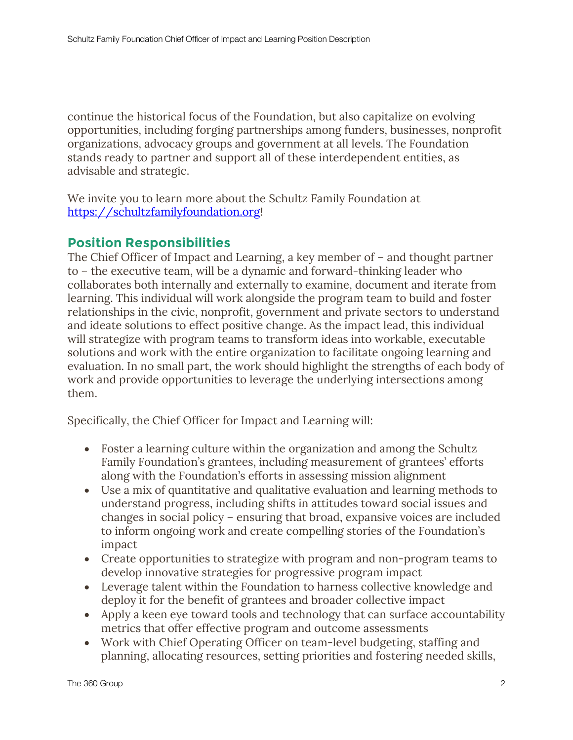continue the historical focus of the Foundation, but also capitalize on evolving opportunities, including forging partnerships among funders, businesses, nonprofit organizations, advocacy groups and government at all levels. The Foundation stands ready to partner and support all of these interdependent entities, as advisable and strategic.

We invite you to learn more about the Schultz Family Foundation at https://schultzfamilyfoundation.org!

## **Position Responsibilities**

The Chief Officer of Impact and Learning, a key member of – and thought partner to – the executive team, will be a dynamic and forward-thinking leader who collaborates both internally and externally to examine, document and iterate from learning. This individual will work alongside the program team to build and foster relationships in the civic, nonprofit, government and private sectors to understand and ideate solutions to effect positive change. As the impact lead, this individual will strategize with program teams to transform ideas into workable, executable solutions and work with the entire organization to facilitate ongoing learning and evaluation. In no small part, the work should highlight the strengths of each body of work and provide opportunities to leverage the underlying intersections among them.

Specifically, the Chief Officer for Impact and Learning will:

- Foster a learning culture within the organization and among the Schultz Family Foundation's grantees, including measurement of grantees' efforts along with the Foundation's efforts in assessing mission alignment
- Use a mix of quantitative and qualitative evaluation and learning methods to understand progress, including shifts in attitudes toward social issues and changes in social policy – ensuring that broad, expansive voices are included to inform ongoing work and create compelling stories of the Foundation's impact
- Create opportunities to strategize with program and non-program teams to develop innovative strategies for progressive program impact
- Leverage talent within the Foundation to harness collective knowledge and deploy it for the benefit of grantees and broader collective impact
- Apply a keen eye toward tools and technology that can surface accountability metrics that offer effective program and outcome assessments
- Work with Chief Operating Officer on team-level budgeting, staffing and planning, allocating resources, setting priorities and fostering needed skills,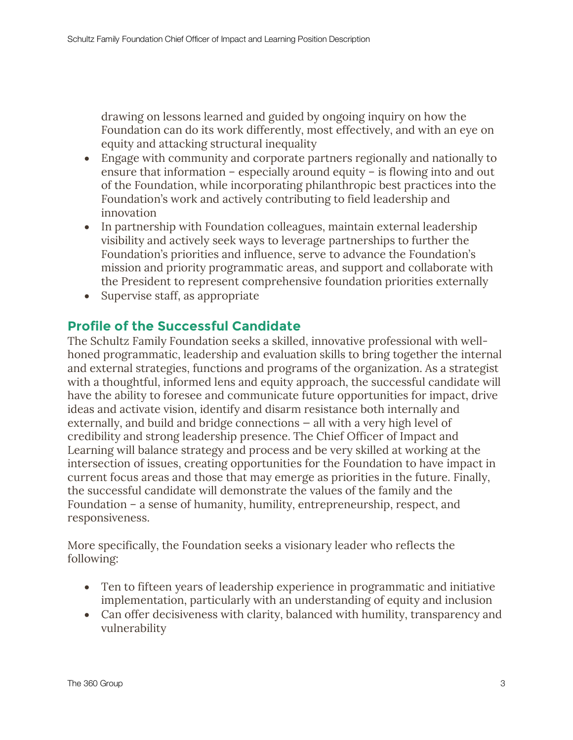drawing on lessons learned and guided by ongoing inquiry on how the Foundation can do its work differently, most effectively, and with an eye on equity and attacking structural inequality

- Engage with community and corporate partners regionally and nationally to ensure that information – especially around equity – is flowing into and out of the Foundation, while incorporating philanthropic best practices into the Foundation's work and actively contributing to field leadership and innovation
- In partnership with Foundation colleagues, maintain external leadership visibility and actively seek ways to leverage partnerships to further the Foundation's priorities and influence, serve to advance the Foundation's mission and priority programmatic areas, and support and collaborate with the President to represent comprehensive foundation priorities externally
- Supervise staff, as appropriate

### **Profile of the Successful Candidate**

The Schultz Family Foundation seeks a skilled, innovative professional with wellhoned programmatic, leadership and evaluation skills to bring together the internal and external strategies, functions and programs of the organization. As a strategist with a thoughtful, informed lens and equity approach, the successful candidate will have the ability to foresee and communicate future opportunities for impact, drive ideas and activate vision, identify and disarm resistance both internally and externally, and build and bridge connections — all with a very high level of credibility and strong leadership presence. The Chief Officer of Impact and Learning will balance strategy and process and be very skilled at working at the intersection of issues, creating opportunities for the Foundation to have impact in current focus areas and those that may emerge as priorities in the future. Finally, the successful candidate will demonstrate the values of the family and the Foundation – a sense of humanity, humility, entrepreneurship, respect, and responsiveness.

More specifically, the Foundation seeks a visionary leader who reflects the following:

- Ten to fifteen years of leadership experience in programmatic and initiative implementation, particularly with an understanding of equity and inclusion
- Can offer decisiveness with clarity, balanced with humility, transparency and vulnerability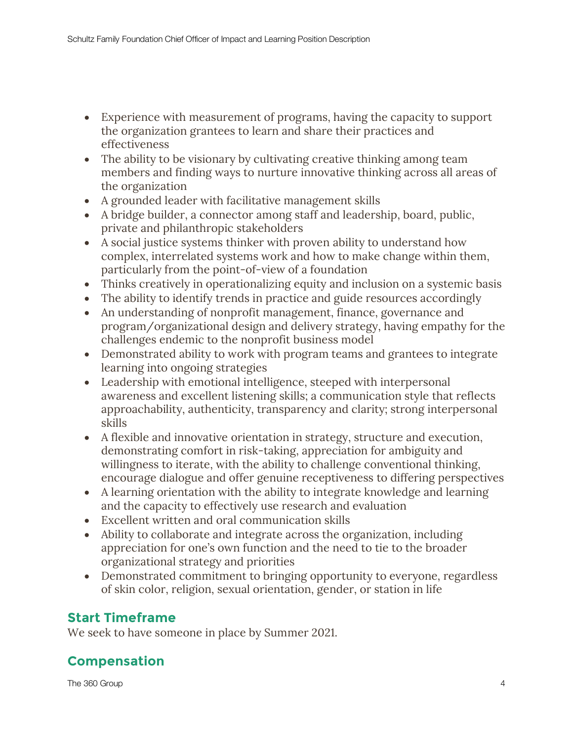- Experience with measurement of programs, having the capacity to support the organization grantees to learn and share their practices and effectiveness
- The ability to be visionary by cultivating creative thinking among team members and finding ways to nurture innovative thinking across all areas of the organization
- A grounded leader with facilitative management skills
- A bridge builder, a connector among staff and leadership, board, public, private and philanthropic stakeholders
- A social justice systems thinker with proven ability to understand how complex, interrelated systems work and how to make change within them, particularly from the point-of-view of a foundation
- Thinks creatively in operationalizing equity and inclusion on a systemic basis
- The ability to identify trends in practice and guide resources accordingly
- An understanding of nonprofit management, finance, governance and program/organizational design and delivery strategy, having empathy for the challenges endemic to the nonprofit business model
- Demonstrated ability to work with program teams and grantees to integrate learning into ongoing strategies
- Leadership with emotional intelligence, steeped with interpersonal awareness and excellent listening skills; a communication style that reflects approachability, authenticity, transparency and clarity; strong interpersonal skills
- A flexible and innovative orientation in strategy, structure and execution, demonstrating comfort in risk-taking, appreciation for ambiguity and willingness to iterate, with the ability to challenge conventional thinking, encourage dialogue and offer genuine receptiveness to differing perspectives
- A learning orientation with the ability to integrate knowledge and learning and the capacity to effectively use research and evaluation
- Excellent written and oral communication skills
- Ability to collaborate and integrate across the organization, including appreciation for one's own function and the need to tie to the broader organizational strategy and priorities
- Demonstrated commitment to bringing opportunity to everyone, regardless of skin color, religion, sexual orientation, gender, or station in life

# **Start Timeframe**

We seek to have someone in place by Summer 2021.

# **Compensation**

The 360 Group 4 and 360 Group 4 and 360 Group 4 and 360 Group 4 and 360 Group 4 and 360 Group 4 and 360 Group 4 and 360 Group 4 and 360 Group 4 and 360 Group 4 and 360 Group 4 and 360 Group 4 and 360 Group 4 and 360 Group